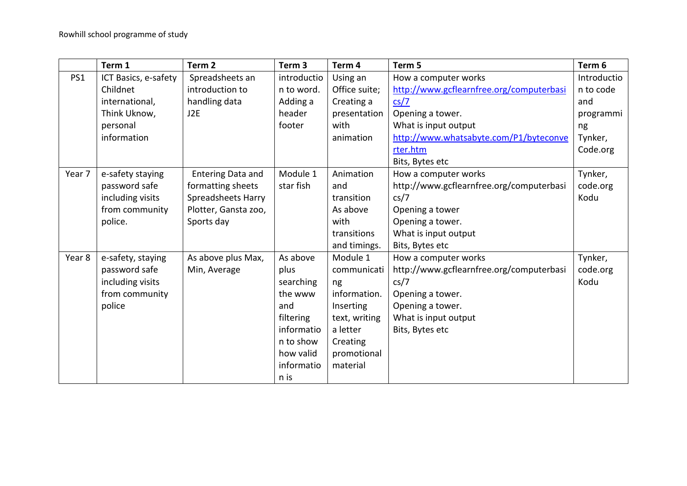|        | Term 1               | Term <sub>2</sub>        | Term 3      | Term 4        | Term 5                                   | Term 6      |
|--------|----------------------|--------------------------|-------------|---------------|------------------------------------------|-------------|
| PS1    | ICT Basics, e-safety | Spreadsheets an          | introductio | Using an      | How a computer works                     | Introductio |
|        | Childnet             | introduction to          | n to word.  | Office suite; | http://www.gcflearnfree.org/computerbasi | n to code   |
|        | international,       | handling data            | Adding a    | Creating a    | cs/7                                     | and         |
|        | Think Uknow,         | J2E                      | header      | presentation  | Opening a tower.                         | programmi   |
|        | personal             |                          | footer      | with          | What is input output                     | ng          |
|        | information          |                          |             | animation     | http://www.whatsabyte.com/P1/byteconve   | Tynker,     |
|        |                      |                          |             |               | rter.htm                                 | Code.org    |
|        |                      |                          |             |               | Bits, Bytes etc                          |             |
| Year 7 | e-safety staying     | <b>Entering Data and</b> | Module 1    | Animation     | How a computer works                     | Tynker,     |
|        | password safe        | formatting sheets        | star fish   | and           | http://www.gcflearnfree.org/computerbasi | code.org    |
|        | including visits     | Spreadsheets Harry       |             | transition    | cs/7                                     | Kodu        |
|        | from community       | Plotter, Gansta zoo,     |             | As above      | Opening a tower                          |             |
|        | police.              | Sports day               |             | with          | Opening a tower.                         |             |
|        |                      |                          |             | transitions   | What is input output                     |             |
|        |                      |                          |             | and timings.  | Bits, Bytes etc                          |             |
| Year 8 | e-safety, staying    | As above plus Max,       | As above    | Module 1      | How a computer works                     | Tynker,     |
|        | password safe        | Min, Average             | plus        | communicati   | http://www.gcflearnfree.org/computerbasi | code.org    |
|        | including visits     |                          | searching   | ng            | cs/7                                     | Kodu        |
|        | from community       |                          | the www     | information.  | Opening a tower.                         |             |
|        | police               |                          | and         | Inserting     | Opening a tower.                         |             |
|        |                      |                          | filtering   | text, writing | What is input output                     |             |
|        |                      |                          | informatio  | a letter      | Bits, Bytes etc                          |             |
|        |                      |                          | n to show   | Creating      |                                          |             |
|        |                      |                          | how valid   | promotional   |                                          |             |
|        |                      |                          | informatio  | material      |                                          |             |
|        |                      |                          | n is        |               |                                          |             |